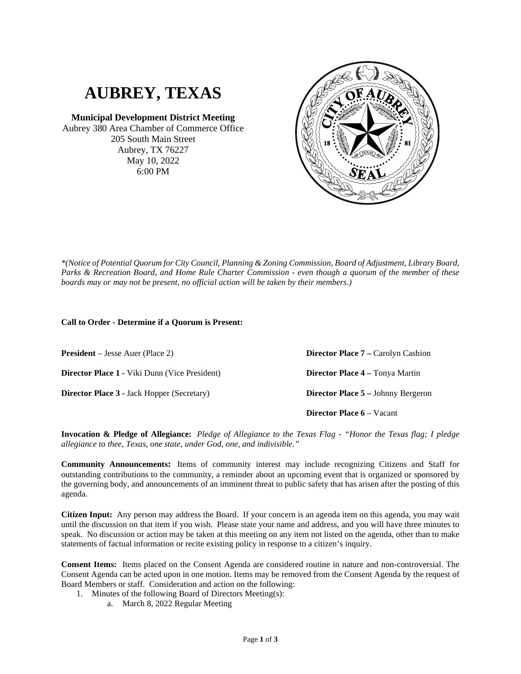## **AUBREY, TEXAS**

**Municipal Development District Meeting** Aubrey 380 Area Chamber of Commerce Office 205 South Main Street Aubrey, TX 76227 May 10, 2022 6:00 PM



## **Call to Order - Determine if a Quorum is Present:**

**President** – Jesse Auer (Place 2) **Director Place 1 -** Viki Dunn (Vice President)

**Director Place 3 -** Jack Hopper (Secretary)

**Director Place 7 –** Carolyn Cashion **Director Place 4 –** Tonya Martin **Director Place 5 –** Johnny Bergeron **Director Place 6** – Vacant

**Invocation & Pledge of Allegiance:** *Pledge of Allegiance to the Texas Flag - "Honor the Texas flag; I pledge allegiance to thee, Texas, one state, under God, one, and indivisible."*

**Community Announcements:** Items of community interest may include recognizing Citizens and Staff for outstanding contributions to the community, a reminder about an upcoming event that is organized or sponsored by the governing body, and announcements of an imminent threat to public safety that has arisen after the posting of this agenda.

**Citizen Input:** Any person may address the Board. If your concern is an agenda item on this agenda, you may wait until the discussion on that item if you wish. Please state your name and address, and you will have three minutes to speak. No discussion or action may be taken at this meeting on any item not listed on the agenda, other than to make statements of factual information or recite existing policy in response to a citizen's inquiry.

**Consent Items:** Items placed on the Consent Agenda are considered routine in nature and non-controversial. The Consent Agenda can be acted upon in one motion. Items may be removed from the Consent Agenda by the request of Board Members or staff. Consideration and action on the following:

- 1. Minutes of the following Board of Directors Meeting(s):
	- a. March 8, 2022 Regular Meeting

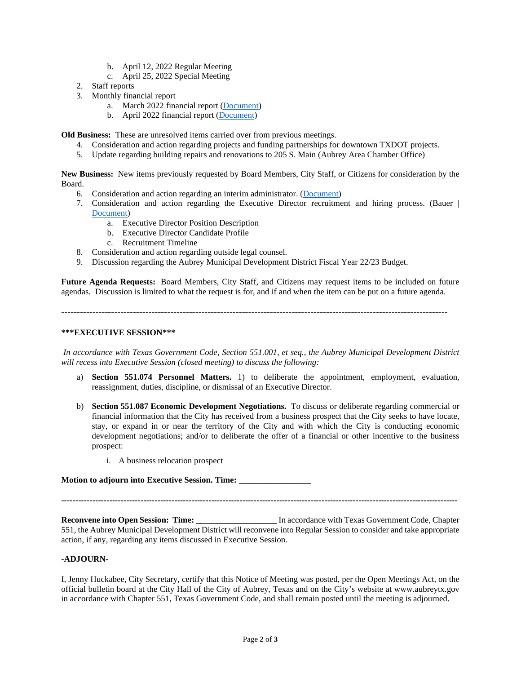- b. April 12, 2022 Regular Meeting
- c. April 25, 2022 Special Meeting
- 2. Staff reports
- 3. Monthly financial report
	- a. March 2022 financial report [\(Document\)](https://www.dropbox.com/s/s40gsywed87uwl6/3a%20March%20Financials.pdf?dl=0)
	- b. April 2022 financial report [\(Document\)](https://www.dropbox.com/s/de5dwo9m3wictjd/April%20Financials.pdf?dl=0)

**Old Business:** These are unresolved items carried over from previous meetings.

- 4. Consideration and action regarding projects and funding partnerships for downtown TXDOT projects.
- 5. Update regarding building repairs and renovations to 205 S. Main (Aubrey Area Chamber Office)

**New Business:** New items previously requested by Board Members, City Staff, or Citizens for consideration by the Board.

- 6. Consideration and action regarding an interim administrator. [\(Document\)](https://www.dropbox.com/s/bfurzs0zwk8tqou/Aubrey%20MDD%20-%20Proposal%20for%20Interim%20Services%204-2022.pdf?dl=0)
- 7. Consideration and action regarding the Executive Director recruitment and hiring process. (Bauer | [Document\)](https://www.dropbox.com/s/c9u5bn6j4uv9kq5/GPS%20Proposal%20-%20AMDD.pdf?dl=0)
	- a. Executive Director Position Description
	- b. Executive Director Candidate Profile
	- c. Recruitment Timeline
- 8. Consideration and action regarding outside legal counsel.
- 9. Discussion regarding the Aubrey Municipal Development District Fiscal Year 22/23 Budget.

**Future Agenda Requests:** Board Members, City Staff, and Citizens may request items to be included on future agendas. Discussion is limited to what the request is for, and if and when the item can be put on a future agenda.

**----------------------------------------------------------------------------------------------------------------------------**

## **\*\*\*EXECUTIVE SESSION\*\*\***

*In accordance with Texas Government Code, Section 551.001, et seq., the Aubrey Municipal Development District will recess into Executive Session (closed meeting) to discuss the following:*

- a) **Section 551.074 Personnel Matters.** 1) to deliberate the appointment, employment, evaluation, reassignment, duties, discipline, or dismissal of an Executive Director.
- b) **Section 551.087 Economic Development Negotiations.** To discuss or deliberate regarding commercial or financial information that the City has received from a business prospect that the City seeks to have locate, stay, or expand in or near the territory of the City and with which the City is conducting economic development negotiations; and/or to deliberate the offer of a financial or other incentive to the business prospect:
	- i. A business relocation prospect

**Motion to adjourn into Executive Session. Time: \_\_\_\_\_\_\_\_\_\_\_\_\_\_\_\_\_**

**--------------------------------------------------------------------------------------------------------------------------------------------**

**Reconvene into Open Session: Time: \_\_\_\_\_\_\_\_\_\_\_\_\_\_\_\_\_\_\_** In accordance with Texas Government Code, Chapter 551, the Aubrey Municipal Development District will reconvene into Regular Session to consider and take appropriate action, if any, regarding any items discussed in Executive Session.

## **-ADJOURN-**

I, Jenny Huckabee, City Secretary, certify that this Notice of Meeting was posted, per the Open Meetings Act, on the official bulletin board at the City Hall of the City of Aubrey, Texas and on the City's website at www.aubreytx.gov in accordance with Chapter 551, Texas Government Code, and shall remain posted until the meeting is adjourned.